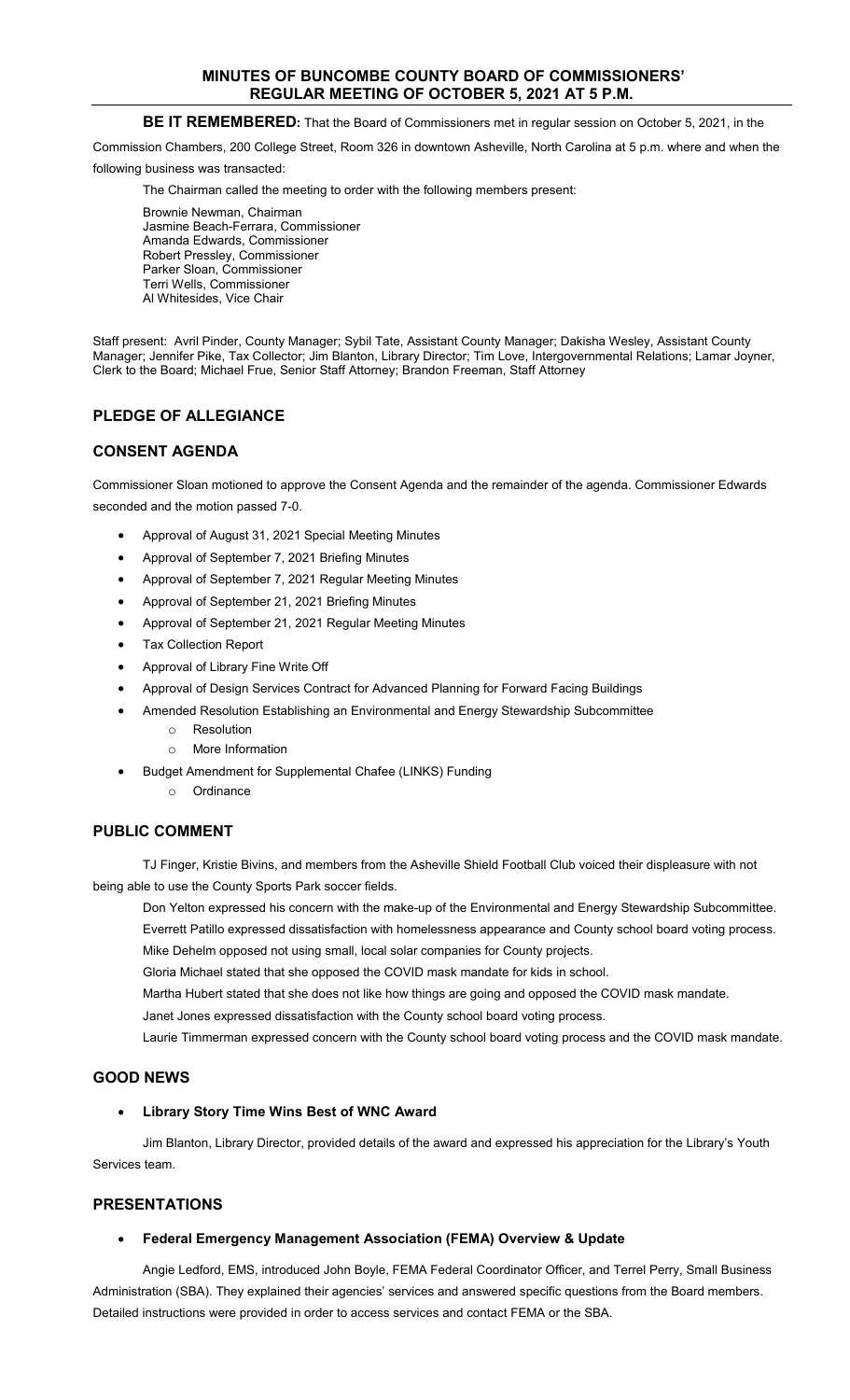# **MINUTES OF BUNCOMBE COUNTY BOARD OF COMMISSIONERS' REGULAR MEETING OF OCTOBER 5, 2021 AT 5 P.M.**

# **BE IT REMEMBERED:** That the Board of Commissioners met in regular session on October 5, 2021, in the

Commission Chambers, 200 College Street, Room 326 in downtown Asheville, North Carolina at 5 p.m. where and when the

following business was transacted:

The Chairman called the meeting to order with the following members present:

Brownie Newman, Chairman Jasmine Beach-Ferrara, Commissioner Amanda Edwards, Commissioner Robert Pressley, Commissioner Parker Sloan, Commissioner Terri Wells, Commissioner Al Whitesides, Vice Chair

Staff present: Avril Pinder, County Manager; Sybil Tate, Assistant County Manager; Dakisha Wesley, Assistant County Manager; Jennifer Pike, Tax Collector; Jim Blanton, Library Director; Tim Love, Intergovernmental Relations; Lamar Joyner, Clerk to the Board; Michael Frue, Senior Staff Attorney; Brandon Freeman, Staff Attorney

# **PLEDGE OF ALLEGIANCE**

# **CONSENT AGENDA**

Commissioner Sloan motioned to approve the Consent Agenda and the remainder of the agenda. Commissioner Edwards seconded and the motion passed 7-0.

- Approval of August 31, 2021 Special Meeting Minutes
- Approval of September 7, 2021 Briefing Minutes
- Approval of September 7, 2021 Regular Meeting Minutes
- Approval of September 21, 2021 Briefing Minutes
- Approval of September 21, 2021 Regular Meeting Minutes
- **Tax Collection Report**
- Approval of Library Fine Write Off
- Approval of Design Services Contract for Advanced Planning for Forward Facing Buildings
- Amended Resolution Establishing an Environmental and Energy Stewardship Subcommittee
	- o Resolution
	- o More Information
- Budget Amendment for Supplemental Chafee (LINKS) Funding
	- o Ordinance

# **PUBLIC COMMENT**

TJ Finger, Kristie Bivins, and members from the Asheville Shield Football Club voiced their displeasure with not being able to use the County Sports Park soccer fields.

Don Yelton expressed his concern with the make-up of the Environmental and Energy Stewardship Subcommittee. Everrett Patillo expressed dissatisfaction with homelessness appearance and County school board voting process. Mike Dehelm opposed not using small, local solar companies for County projects.

Gloria Michael stated that she opposed the COVID mask mandate for kids in school.

Martha Hubert stated that she does not like how things are going and opposed the COVID mask mandate.

Janet Jones expressed dissatisfaction with the County school board voting process.

Laurie Timmerman expressed concern with the County school board voting process and the COVID mask mandate.

# **GOOD NEWS**

### • **Library Story Time Wins Best of WNC Award**

Jim Blanton, Library Director, provided details of the award and expressed his appreciation for the Library's Youth Services team.

# **PRESENTATIONS**

### • **Federal Emergency Management Association (FEMA) Overview & Update**

Angie Ledford, EMS, introduced John Boyle, FEMA Federal Coordinator Officer, and Terrel Perry, Small Business Administration (SBA). They explained their agencies' services and answered specific questions from the Board members. Detailed instructions were provided in order to access services and contact FEMA or the SBA.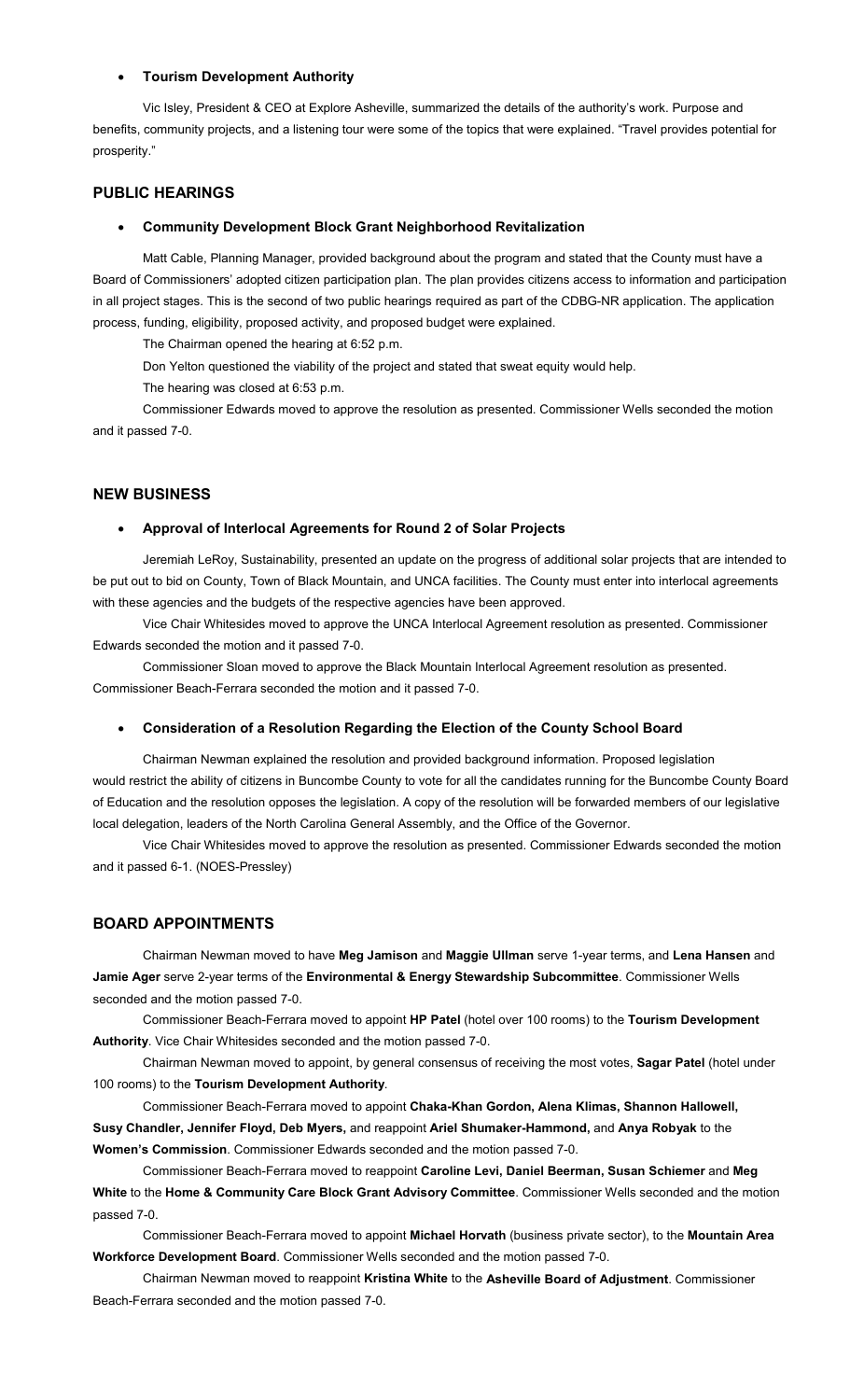#### • **Tourism Development Authority**

Vic Isley, President & CEO at Explore Asheville, summarized the details of the authority's work. Purpose and benefits, community projects, and a listening tour were some of the topics that were explained. "Travel provides potential for prosperity."

### **PUBLIC HEARINGS**

# • **Community Development Block Grant Neighborhood Revitalization**

Matt Cable, Planning Manager, provided background about the program and stated that the County must have a Board of Commissioners' adopted citizen participation plan. The plan provides citizens access to information and participation in all project stages. This is the second of two public hearings required as part of the CDBG-NR application. The application process, funding, eligibility, proposed activity, and proposed budget were explained.

The Chairman opened the hearing at 6:52 p.m.

Don Yelton questioned the viability of the project and stated that sweat equity would help.

The hearing was closed at 6:53 p.m.

Commissioner Edwards moved to approve the resolution as presented. Commissioner Wells seconded the motion and it passed 7-0.

#### **NEW BUSINESS**

### • **Approval of Interlocal Agreements for Round 2 of Solar Projects**

Jeremiah LeRoy, Sustainability, presented an update on the progress of additional solar projects that are intended to be put out to bid on County, Town of Black Mountain, and UNCA facilities. The County must enter into interlocal agreements with these agencies and the budgets of the respective agencies have been approved.

Vice Chair Whitesides moved to approve the UNCA Interlocal Agreement resolution as presented. Commissioner Edwards seconded the motion and it passed 7-0.

Commissioner Sloan moved to approve the Black Mountain Interlocal Agreement resolution as presented. Commissioner Beach-Ferrara seconded the motion and it passed 7-0.

#### • **Consideration of a Resolution Regarding the Election of the County School Board**

Chairman Newman explained the resolution and provided background information. Proposed legislation would restrict the ability of citizens in Buncombe County to vote for all the candidates running for the Buncombe County Board of Education and the resolution opposes the legislation. A copy of the resolution will be forwarded members of our legislative local delegation, leaders of the North Carolina General Assembly, and the Office of the Governor.

Vice Chair Whitesides moved to approve the resolution as presented. Commissioner Edwards seconded the motion and it passed 6-1. (NOES-Pressley)

### **BOARD APPOINTMENTS**

Chairman Newman moved to have **Meg Jamison** and **Maggie Ullman** serve 1-year terms, and **Lena Hansen** and **Jamie Ager** serve 2-year terms of the **Environmental & Energy Stewardship Subcommittee**. Commissioner Wells seconded and the motion passed 7-0.

Commissioner Beach-Ferrara moved to appoint **HP Patel** (hotel over 100 rooms) to the **Tourism Development Authority**. Vice Chair Whitesides seconded and the motion passed 7-0.

Chairman Newman moved to appoint, by general consensus of receiving the most votes, **Sagar Patel** (hotel under 100 rooms) to the **Tourism Development Authority**.

Commissioner Beach-Ferrara moved to appoint **Chaka-Khan Gordon, Alena Klimas, Shannon Hallowell, Susy Chandler, Jennifer Floyd, Deb Myers,** and reappoint **Ariel Shumaker-Hammond,** and **Anya Robyak** to the **Women's Commission**. Commissioner Edwards seconded and the motion passed 7-0.

Commissioner Beach-Ferrara moved to reappoint **Caroline Levi, Daniel Beerman, Susan Schiemer** and **Meg White** to the **Home & Community Care Block Grant Advisory Committee**. Commissioner Wells seconded and the motion passed 7-0.

Commissioner Beach-Ferrara moved to appoint **Michael Horvath** (business private sector), to the **Mountain Area Workforce Development Board**. Commissioner Wells seconded and the motion passed 7-0.

Chairman Newman moved to reappoint **Kristina White** to the **Asheville Board of Adjustment**. Commissioner Beach-Ferrara seconded and the motion passed 7-0.